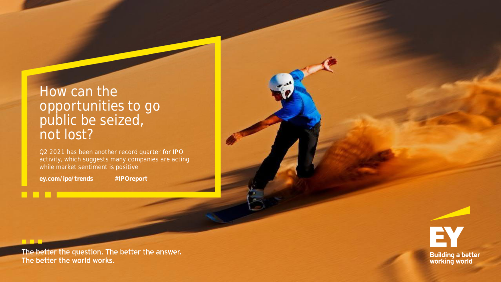# How can the opportunities to go public be seized, not lost?

Q2 2021 has been another record quarter for IPO activity, which suggests many companies are acting while market sentiment is positive

**ey.com/ipo/trends #IPOreport**

<u>a di Ba</u>

EY **Building a better<br>working world** 

The better the question. The better the answer. The better the world works.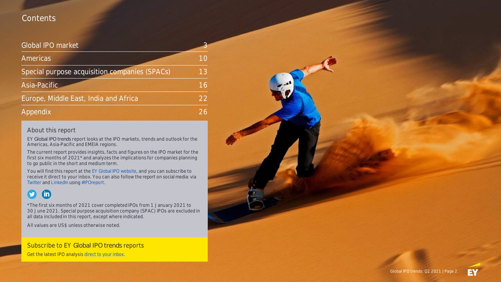## **Contents**

### Global IPO market

| Americas <sup>®</sup>                         |    |
|-----------------------------------------------|----|
| Special purpose acquisition companies (SPACs) | 13 |
| Asia-Pacific                                  | 16 |
| Europe, Middle East, India and Africa         | 22 |
| Appendix                                      | つん |

### About this report

EY *Global IPO trends* report looks at the IPO markets, trends and outlook for the Americas, Asia-Pacific and EMEIA regions.

The current report provides insights, facts and figures on the IPO market **for the first six months of 2021\*** and analyzes the implications for companies planning to go public in the short and medium term.

You will find this report at the [EY Global IPO website](http://www.ey.com/ipo/trends), and you can subscribe to receive it direct to your inbox. You can also follow the report on social media: via [Twitter](https://twitter.com/search?q=) and [LinkedIn](https://www.linkedin.com/search/results/content/?keywords=) using [#IPOreport](https://twitter.com/search?q=).

### $\bullet$ **In**

\*The first six months of 2021 cover completed IPOs from 1 January 2021 to 30 June 2021. Special purpose acquisition company (SPAC) IPOs are excluded in all data included in this report, except where indicated.

**All values are US\$ unless otherwise noted.**

Subscribe to EY *Global IPO trends* reports Get the latest IPO analysis [direct to your inbox](https://www.ey.com/en_gl/forms/subscribe-for-quarterly-ipo-trends-reports).

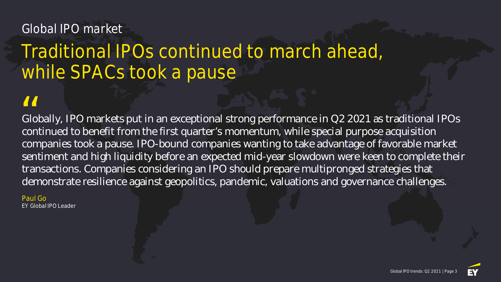# Global IPO market

# Traditional IPOs continued to march ahead, while SPACs took a pause

Globally, IPO markets put in an exceptional strong performance in Q2 2021 as traditional IPOs continued to benefit from the first quarter's momentum, while special purpose acquisition companies took a pause. IPO-bound companies wanting to take advantage of favorable market sentiment and high liquidity before an expected mid-year slowdown were keen to complete their transactions. Companies considering an IPO should prepare multipronged strategies that demonstrate resilience against geopolitics, pandemic, valuations and governance challenges. II<br>Glo<br>con

Paul Go EY Global IPO Leader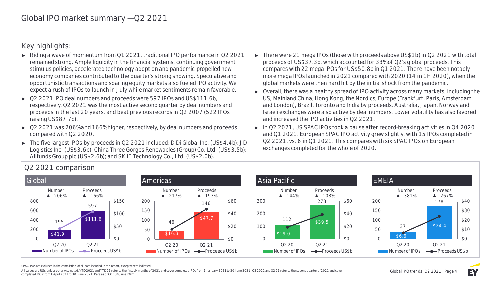**Key highlights:**

- ► Riding a wave of momentum from Q1 2021, traditional IPO performance in Q2 2021 remained strong. Ample liquidity in the financial systems, continuing government stimulus policies, accelerated technology adoption and pandemic-propelled new economy companies contributed to the quarter's strong showing. Speculative and opportunistic transactions and soaring equity markets also fueled IPO activity. We expect a rush of IPOs to launch in July while market sentiments remain favorable.
- ► Q2 2021 IPO deal numbers and proceeds were 597 IPOs and US\$111.6b, respectively. Q2 2021 was the most active second quarter by deal numbers and proceeds in the last 20 years, and beat previous records in Q2 2007 (522 IPOs raising US\$87.7b).
- ► Q2 2021 was 206% and 166% higher, respectively, by deal numbers and proceeds compared with Q2 2020.
- ► The five largest IPOs by proceeds in Q2 2021 included: DiDi Global Inc. (US\$4.4b); JD Logistics Inc. (US\$3.6b); China Three Gorges Renewables (Group) Co. Ltd. (US\$3.5b); Allfunds Group plc (US\$2.6b); and SK IE Technology Co., Ltd. (US\$2.0b).
- ► There were 21 mega IPOs (those with proceeds above US\$1b) in Q2 2021 with total proceeds of US\$37.3b, which accounted for 33% of Q2's global proceeds. This compares with 22 mega IPOs for US\$50.8b in Q1 2021. There have been notably more mega IPOs launched in 2021 compared with 2020 (14 in 1H 2020), when the global markets were then hard hit by the initial shock from the pandemic.
- ► Overall, there was a healthy spread of IPO activity across many markets, including the US, Mainland China, Hong Kong, the Nordics, Europe (Frankfurt, Paris, Amsterdam and London), Brazil, Toronto and India by proceeds. Australia, Japan, Norway and Israeli exchanges were also active by deal numbers. Lower volatility has also favored and increased the IPO activities in Q2 2021.
- ► In Q2 2021, US SPAC IPOs took a pause after record-breaking activities in Q4 2020 and Q1 2021. European SPAC IPO activity grew slightly, with 15 IPOs completed in Q2 2021, vs. 6 in Q1 2021. This compares with six SPAC IPOs on European exchanges completed for the whole of 2020.



**Q2 2021 comparison**

SPAC IPOs are excluded in the compilation of all data included in this report, except where indicated.

All values are US\$ unless otherwise noted. YTD 2021 and YTD 21 refer to the first six months of 2021 and cover completed IPOs from 1 January 2021 to 30 June 2021. 02 2021 and 02 21 refer to the second quarter of 2021 and c completed IPOs from 1 April 2021 to 30 June 2021. Data as of COB 30 June 2021.

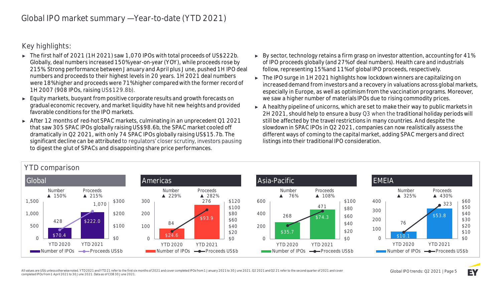**Key highlights:**

- ► The first half of 2021 (1H 2021) saw 1,070 IPOs with total proceeds of US\$222b. Globally, deal numbers increased 150% year-on-year (YOY), while proceeds rose by 215%. Strong performance between January and April plus June, pushed 1H IPO deal numbers and proceeds to their highest levels in 20 years. 1H 2021 deal numbers were 18% higher and proceeds were 71% higher compared with the former record of 1H 2007 (908 IPOs, raising US\$129.8b).
- ► Equity markets, buoyant from positive corporate results and growth forecasts on gradual economic recovery, and market liquidity have hit new heights and provided favorable conditions for the IPO markets.
- ► After 12 months of red-hot SPAC markets, culminating in an unprecedent Q1 2021 that saw 305 SPAC IPOs globally raising US\$98.6b, the SPAC market cooled off dramatically in Q2 2021, with only 74 SPAC IPOs globally raising US\$15.7b. The significant decline can be attributed to regulators' closer scrutiny, investors pausing to digest the glut of SPACs and disappointing share price performances.
- ► By sector, technology retains a firm grasp on investor attention, accounting for 41% of IPO proceeds globally (and 27% of deal numbers). Health care and industrials follow, representing 15% and 11% of global IPO proceeds, respectively.
- ► The IPO surge in 1H 2021 highlights how lockdown winners are capitalizing on increased demand from investors and a recovery in valuations across global markets, especially in Europe, as well as optimism from the vaccination programs. Moreover, we saw a higher number of materials IPOs due to rising commodity prices.
- ► A healthy pipeline of unicorns, which are set to make their way to public markets in 2H 2021, should help to ensure a busy Q3 when the traditional holiday periods will still be affected by the travel restrictions in many countries. And despite the slowdown in SPAC IPOs in Q2 2021, companies can now realistically assess the different ways of coming to the capital market, adding SPAC mergers and direct listings into their traditional IPO consideration.



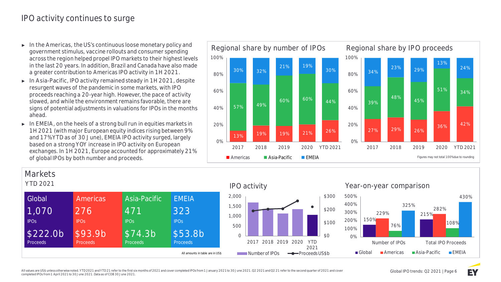# IPO activity continues to surge

- ► **In the Americas,** the US's continuous loose monetary policy and government stimulus, vaccine rollouts and consumer spending across the region helped propel IPO markets to their highest levels in the last 20 years. In addition, Brazil and Canada have also made a greater contribution to Americas IPO activity in 1H 2021.
- ► **In Asia-Pacific,** IPO activity remained steady in 1H 2021, despite resurgent waves of the pandemic in some markets, with IPO proceeds reaching a 20-year high. However, the pace of activity slowed, and while the environment remains favorable, there are signs of potential adjustments in valuations for IPOs in the months ahead.
- ► **In EMEIA,** on the heels of a strong bull run in equities markets in 1H 2021 (with major European equity indices rising between 9% and 17% YTD as of 30 June), EMEIA IPO activity surged, largely based on a strong YOY increase in IPO activity on European exchanges. In 1H 2021, Europe accounted for approximately 21% of global IPOs by both number and proceeds.





### All values are US\$ unless otherwise noted. YTD 2021 and YTD 21 refer to the first six months of 2021 and cover completed IPOs from 1 January 2021 to 30 June 2021. 02 2021 and 02 21 refer to the second quarter of 2021 and c completed IPOs from 1 April 2021 to 30 June 2021. Data as of COB 30 June 2021.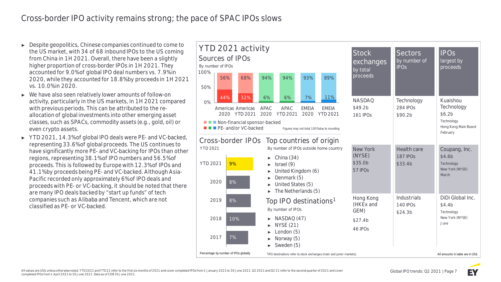# Cross-border IPO activity remains strong; the pace of SPAC IPOs slows

- ► Despite geopolitics, Chinese companies continued to come to the US market, with 34 of 68 inbound IPOs to the US coming from China in 1H 2021. Overall, there have been a slightly higher proportion of cross-border IPOs in 1H 2021. They accounted for 9.0% of global IPO deal numbers vs. 7.9% in 2020, while they accounted for 18.8% by proceeds in 1H 2021 vs. 10.0% in 2020.
- ► We have also seen relatively lower amounts of follow-on activity, particularly in the US markets, in 1H 2021 compared with previous periods. This can be attributed to the reallocation of global investments into other emerging asset classes, such as SPACs, commodity assets (e.g., gold, oil) or even crypto assets.
- ► YTD 2021, 14.3% of global IPO deals were PE- and VC-backed, representing 33.6% of global proceeds. The US continues to have significantly more PE- and VC-backing for IPOs than other regions, representing 38.1% of IPO numbers and 56.5% of proceeds. This is followed by Europe with 12.3% of IPOs and 41.1% by proceeds being PE- and VC-backed. Although Asia-Pacific recorded only approximately 6% of IPO deals and proceeds with PE- or VC-backing, it should be noted that there are many IPO deals backed by "start up funds" of tech companies such as Alibaba and Tencent, which are not classified as PE- or VC-backed.



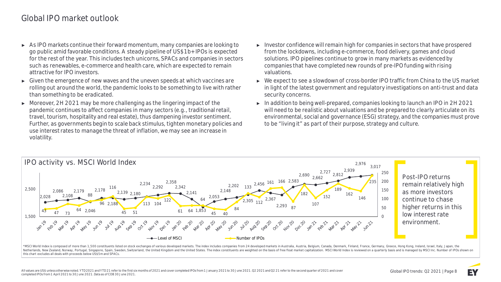# Global IPO market outlook

- ► As IPO markets continue their forward momentum, many companies are looking to go public amid favorable conditions. A steady pipeline of US\$1b+ IPOs is expected for the rest of the year. This includes tech unicorns, SPACs and companies in sectors such as renewables, e-commerce and health care, which are expected to remain attractive for IPO investors.
- ► Given the emergence of new waves and the uneven speeds at which vaccines are rolling out around the world, the pandemic looks to be something to live with rather than something to be eradicated.
- ► Moreover, 2H 2021 may be more challenging as the lingering impact of the pandemic continues to affect companies in many sectors (e.g., traditional retail, travel, tourism, hospitality and real estate), thus dampening investor sentiment. Further, as governments begin to scale back stimulus, tighten monetary policies and use interest rates to manage the threat of inflation, we may see an increase in volatility.
- ► Investor confidence will remain high for companies in sectors that have prospered from the lockdowns, including e-commerce, food delivery, games and cloud solutions. IPO pipelines continue to grow in many markets as evidenced by companies that have completed new rounds of pre-IPO funding with rising valuations.
- ► We expect to see a slowdown of cross-border IPO traffic from China to the US market in light of the latest government and regulatory investigations on anti-trust and data security concerns.
- ► In addition to being well-prepared, companies looking to launch an IPO in 2H 2021 will need to be realistic about valuations and be prepared to clearly articulate on its environmental, social and governance (ESG) strategy, and the companies must prove to be "living it" as part of their purpose, strategy and culture.



**Post-IPO returns remain relatively high as more investors continue to chase higher returns in this low interest rate environment.**

\*MSCI World Index is composed of more than 1,500 constituents listed on stock exchanges of various developed markets. The index includes companies from 24 developed markets in Australia, Austria, Belgium, Canada, Denmark, Netherlands, New Zealand, Norway, Portugal, Singapore, Spain, Sweden, Switzerland, the United Kingdom and the United States. The index constituents are weighted on the basis of free float market capitalization. MSCI World this chart excludes all deals with proceeds below US\$5m and SPACs.

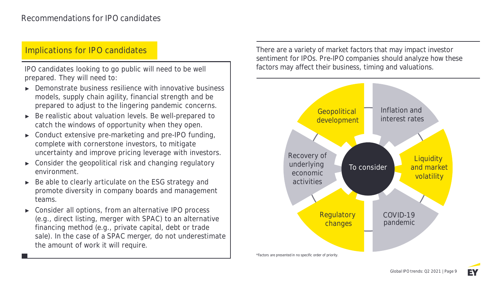## **Implications for IPO candidates**

prepared. They will need to:

- Demonstrate business resilience with innovative business models, supply chain agility, financial strength and be prepared to adjust to the lingering pandemic concerns.
- Be realistic about valuation levels. Be well-prepared to catch the windows of opportunity when they open.
- Conduct extensive pre-marketing and pre-IPO funding, complete with cornerstone investors, to mitigate uncertainty and improve pricing leverage with investors.
- Consider the geopolitical risk and changing regulatory environment.
- Be able to clearly articulate on the ESG strategy and promote diversity in company boards and management teams.
- Consider all options, from an alternative IPO process (e.g., direct listing, merger with SPAC) to an alternative financing method (e.g., private capital, debt or trade sale). In the case of a SPAC merger, do not underestimate the amount of work it will require.

There are a variety of market factors that may impact investor sentiment for IPOs. Pre-IPO companies should analyze how these IPO candidates looking to go public will need to be well **ICC** factors may affect their business, timing and valuations.

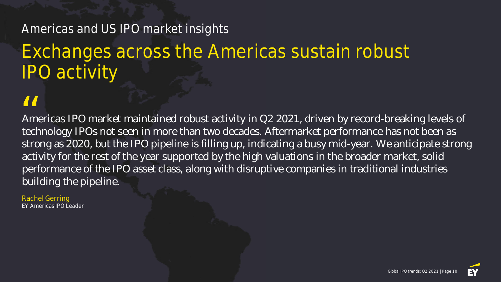# Americas and US IPO market insights

# Exchanges across the Americas sustain robust IPO activity

Americas IPO market maintained robust activity in Q2 2021, driven by record-breaking levels of technology IPOs not seen in more than two decades. Aftermarket performance has not been as strong as 2020, but the IPO pipeline is filling up, indicating a busy mid-year. We anticipate strong activity for the rest of the year supported by the high valuations in the broader market, solid performance of the IPO asset class, along with disruptive companies in traditional industries building the pipeline. **II**<br>Am<br>tech

Rachel Gerring EY Americas IPO Leader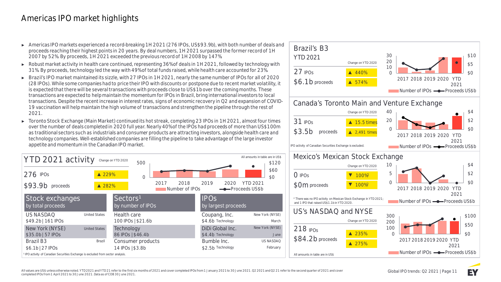# Americas IPO market highlights

- ► Americas IPO markets experienced a record-breaking 1H 2021 (276 IPOs, US\$93.9b), with both number of deals and proceeds reaching their highest points in 20 years. By deal numbers, 1H 2021 surpassed the former record of 1H 2007 by 52%. By proceeds, 1H 2021 exceeded the previous record of 1H 2008 by 147%.
- ► Robust market activity in health care continued, representing 36% of deals in 1H 2021, followed by technology with 31%. By proceeds, technology led the way with 49% of total funds raised, while health care accounted for 23%.
- ► **Brazil's IPO market** maintained its sizzle, with 27 IPOs in 1H 2021, nearly the same number of IPOs for all of 2020 (28 IPOs). While some companies had to price their IPO with discounts or postpone due to recent market volatility, it is expected that there will be several transactions with proceeds close to US\$1b over the coming months. These transactions are expected to help maintain the momentum for IPOs in Brazil, bring international investors to local transactions. Despite the recent increase in interest rates, signs of economic recovery in Q2 and expansion of COVID-19 vaccination will help maintain the high volume of transactions and strengthen the pipeline through the rest of 2021.
- ► **Toronto Stock Exchange (Main Market)** continued its hot streak, completing 23 IPOs in 1H 2021, almost four times over the number of deals completed in 2020 full year. Nearly 40% of the IPOs had proceeds of more than US\$100m as traditional sectors such as industrials and consumer products are attracting investors, alongside health care and technology companies. Well-established companies are filling the pipeline to take advantage of the large investor appetite and momentum in the Canadian IPO market.



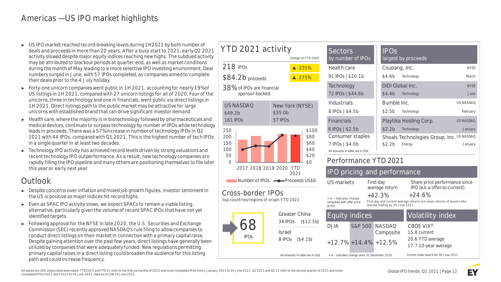# Americas — US IPO market highlights

- ► US IPO market reached record-breaking levels during 1H2021 by both number of deals and proceeds in more than 20 years. After a busy start to 2021, early Q2 2021 activity slowed despite major equity indices reaching new highs. The subdued activity may be attributed to blackout periods at quarter-end, as well as market conditions during the month of May leading to a more selective IPO investing environment. Deal numbers surged in June, with 57 IPOs completed, as companies aimed to complete their deals prior to the 4 July holiday.
- ► Forty-one unicorn companies went public in 1H 2021, accounting for nearly 19% of US listings in 1H 2021, compared with 27 unicorn listings for all of 2020. Four of the unicorns, three in technology and one in financials, went public via direct listings in 1H 2021. Direct listings path to the public market may be attractive for large unicorns with established brand that can drive significant investor demand.
- ► Health care, where the majority is in biotechnology followed by pharmaceuticals and medical devices, continues to surpass technology by number of IPOs while technology leads in proceeds. There was a 57% increase in number of technology IPOs in Q2 2021 with 44 IPOs, compared with Q1 2021. This is the highest number of tech IPOs in a single quarter in at least two decades.
- ► Technology IPO activity has achieved record levels driven by strong valuations and recent technology IPO outperformance. As a result, new technology companies are rapidly filling the IPO pipeline and many others are positioning themselves to file later this year or early next year.

# Outlook

- ► Despite concerns over inflation and mixed job growth figures, investor sentiment in the US is positive as major indices hit record highs.
- ► Even as SPAC IPO activity slows, we expect SPACs to remain a viable listing alternative, particularly given the volume of recent SPAC IPOs that have not yet identified targets.
- ► Following approval for the NYSE in late 2020, the U.S. Securities and Exchange Commission (SEC) recently approved NASDAQ's rule filing to allow companies to conduct direct listings on their market in connection with a primary capital raise. Despite gaining attention over the past few years, direct listings have generally been utilized by companies that were adequately funded. New regulations permitting primary capital raises in a direct listing could broaden the audience for this listing path and could increase frequency.

### 218 IPOs \$84.2b proceeds 38% of IPOs are financial sponsor-backed ▲ 235% ▲ 275% \$0 \$20 \$40 \$60 \$80 \$100  $\Omega$ 50 100 150 200 250 2017 2018 20 2021 Number of IPOs **YTD 2021 activity Change on YTD 2020** 161 IPOs \$49.2b **US NASDAQ** 57 IPOs \$35.0b **New York (NYSE)**

### Cross-border top countries/regions of o



| <b>Sectors</b><br>by number of IPOs                 | <b>IPOS</b><br>largest by proceeds        |                  |
|-----------------------------------------------------|-------------------------------------------|------------------|
| Health care                                         | Coupang, Inc.                             | <b>NYSE</b>      |
| 91 IPOs   \$20.1b                                   | \$4.6b<br>Technology                      | March            |
| Technology                                          | DiDi Global Inc.                          | <b>NYSE</b>      |
| 72 IPOs   \$44.6b                                   | \$4.4b<br>Technology                      | .June            |
| Industrials                                         | Bumble Inc.                               | <b>US NASDAO</b> |
| 8 IPOs   \$4.5b                                     | \$2.5b<br>Technology                      | February         |
| <b>Financials</b>                                   | Playtika Holding Corp.                    | <b>US NASDAQ</b> |
| 8 IPOs   \$2.5b                                     | \$2.2 <sub>b</sub><br>Technology          | January          |
| Consumer staples                                    | Shoals Technologies Group, Inc. US NASDAQ |                  |
| 7 IPOs   \$4.0b<br>All amounts in table are in US\$ | \$2.2 <sub>b</sub><br>Energy              | January          |

### **Performance YTD 2021**

| 19 2020 YTD<br>2021                               | <b>IPO pricing and performance</b>                                           |  |                                                |                                                                                   |  |
|---------------------------------------------------|------------------------------------------------------------------------------|--|------------------------------------------------|-----------------------------------------------------------------------------------|--|
| -- Proceeds US\$b                                 | US markets<br>+ or - indicates change<br>compared with offer price<br>at IPO |  | First-day<br>average return                    | Share price performance since<br>IPO (a.k.a offer-to-current)                     |  |
| POS<br>origin YTD 2021                            |                                                                              |  | $+42.3%$<br>started trading by 30 June 2021    | $+24.6%$<br>First-day and current average returns are mean returns of issuers who |  |
| Greater China<br>34 IPO <sub>S</sub><br>(\$12.5b) | <b>Equity indices</b>                                                        |  |                                                | <b>Volatility index</b>                                                           |  |
| <b>Israel</b>                                     | D.HA                                                                         |  | S&P 500 NASDAO<br>Composite                    | CBOE VIX <sup>®</sup><br>15.8 current                                             |  |
| 8 IPO <sub>S</sub><br>(\$4.1b)                    |                                                                              |  | $+12.7\% +14.4\% +12.5\%$                      | 20.6 YTD average<br>17.7 10-year average                                          |  |
| All amounts in table are in US\$                  |                                                                              |  | + or - indicates change since 31 December 2020 | Current index level is for 30 June 2021                                           |  |
|                                                   |                                                                              |  |                                                |                                                                                   |  |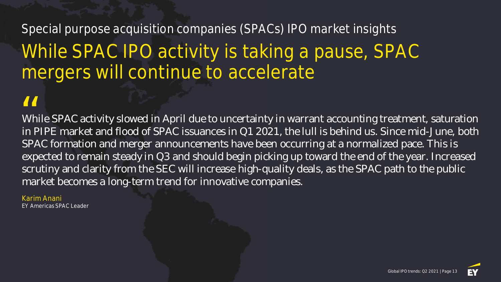# Special purpose acquisition companies (SPACs) IPO market insights While SPAC IPO activity is taking a pause, SPAC mergers will continue to accelerate

While SPAC activity slowed in April due to uncertainty in warrant accounting treatment, saturation in PIPE market and flood of SPAC issuances in Q1 2021, the lull is behind us. Since mid-June, both SPAC formation and merger announcements have been occurring at a normalized pace. This is expected to remain steady in Q3 and should begin picking up toward the end of the year. Increased scrutiny and clarity from the SEC will increase high-quality deals, as the SPAC path to the public market becomes a long-term trend for innovative companies.  $\frac{1}{1}$  Wh in F

### Karim Anani

EY Americas SPAC Leader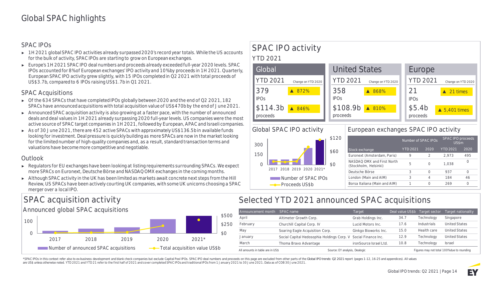### SPAC IPOs

- ► 1H 2021 global SPAC IPO activities already surpassed 2020's record year totals. While the US accounts for the bulk of activity, SPAC IPOs are starting to grow on European exchanges.
- ► Europe's 1H 2021 SPAC IPO deal numbers and proceeds already exceeded full-year 2020 levels. SPAC IPOs accounted for 8% of European exchanges' IPO activity and 10% by proceeds in 1H 2021. Quarterly, European SPAC IPO activity grew slightly, with 15 IPOs completed in Q2 2021 with total proceeds of US\$3.7b, compared to 6 IPOs raising US\$1.7b in Q1 2021.

### SPAC Acquisitions

- ► Of the 634 SPACs that have completed IPOs globally between 2020 and the end of Q2 2021, 182 SPACs have announced acquisitions with total acquisition value of US\$470b by the end of June 2021.
- ► Announced SPAC acquisition activity is also growing at a faster pace, with the number of announced deals and deal values in 1H 2021 already surpassing 2020 full-year levels. US companies were the most active source of SPAC target companies in 1H 2021, followed by European, APAC and Israeli companies.
- ► As of 30 June 2021, there are 452 active SPACs with approximately US\$136.5b in available funds looking for investment. Deal pressure is quickly building as more SPACs are now in the market looking for the limited number of high-quality companies and, as a result, standard transaction terms and valuations have become more competitive and negotiable.

### Outlook

- ► Regulators for EU exchanges have been looking at listing requirements surrounding SPACs. We expect more SPACs on Euronext, Deutsche Börse and NASDAQ OMX exchanges in the coming months.
- ► Although SPAC activity in the UK has been limited as markets await concrete next steps from the Hill Review, US SPACs have been actively courting UK companies, with some UK unicorns choosing a SPAC merger over a local IPO.

# **SPAC IPO activity**

### **YTD 2021**





### **Global SPAC IPO activity**



### **European exchanges SPAC IPO activity**

|                                                     | Number of SPAC IPOs |          | SPAC IPO proceeds<br>US\$m |      |
|-----------------------------------------------------|---------------------|----------|----------------------------|------|
| Stock exchange                                      | <b>YTD 2021</b>     | 2020     | <b>YTD 2021</b>            | 2020 |
| Euronext (Amsterdam, Paris)                         | 9                   | 2        | 2.973                      | 495  |
| NASDAO OMX and First North<br>(Stockholm, Helsinki) | 5                   | $\left($ | 1.038                      |      |
| Deutsche Börse                                      | 3                   | Ω        | 937                        | ∩    |
| London (Main and AIM)                               | 3                   | 4        | 184                        | 46   |
| Borsa Italiana (Main and AIM)                       |                     |          | 269                        | Ω    |

# **SPAC acquisition activity**

**Announced global SPAC acquisitions**



# **Selected YTD 2021 announced SPAC acquisitions**

| Announcement month               | SPAC name                                                      | Target                 | Deal value US\$b | Target sector                              | Target nationality   |  |
|----------------------------------|----------------------------------------------------------------|------------------------|------------------|--------------------------------------------|----------------------|--|
| April                            | Altimeter Growth Corp.                                         | Grab Holdings Inc.     | 34.7             | Technology                                 | Singapore            |  |
| February                         | Churchill Capital Corp. IV                                     | Lucid Motors Inc.      | 17.6             | Industrials                                | <b>United States</b> |  |
| May                              | Soaring Eagle Acquisition Corp.                                | Ginkgo Bioworks Inc.   | 15.0             | Health care                                | <b>United States</b> |  |
| January                          | Social Capital Hedosophia Holdings Corp. V Social Finance Inc. |                        | 12.9             | Technology                                 | <b>United States</b> |  |
| March                            | Thoma Bravo Advantage                                          | ironSource Israel Ltd. | 10.8             | Technoloav                                 | <b>Israel</b>        |  |
| All amounts in table are in US\$ | Source: EY analysis, Dealogic                                  |                        |                  | Figures may not total 100% due to rounding |                      |  |

\*SPAC IPOs in this context refer also to ex-business development and blank check companies but exclude Capital Pool IPOs. SPAC IPO deal numbers and proceeds on this page are excluded from other parts of the Global IPO tren are US\$ unless otherwise noted. YTD 2021 and YTD 21 refer to the first half of 2021 and cover completed SPAC IPOs and traditional IPOs from 1 January 2021 to 30 June 2021. Data as of COB 30 June 2021.

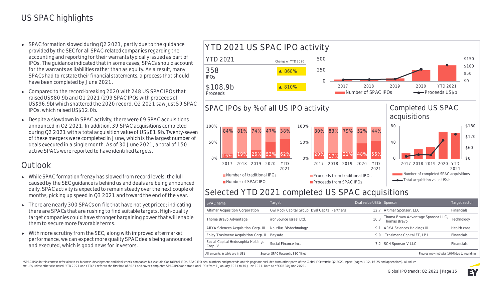- ► SPAC formation slowed during Q2 2021, partly due to the guidance provided by the SEC for all SPAC-related companies regarding the accounting and reporting for their warrants typically issued as part of IPOs. The guidance indicated that in some cases, SPACs should account for the warrants as liabilities rather than as equity. As a result, many SPACs had to restate their financial statements, a process that should have been completed by June 2021.
- ► Compared to the record-breaking 2020 with 248 US SPAC IPOs that raised US\$80.9b and Q1 2021 (299 SPAC IPOs with proceeds of US\$96.9b) which shattered the 2020 record, Q2 2021 saw just 59 SPAC IPOs, which raised US\$12.0b.
- ► Despite a slowdown in SPAC activity, there were 69 SPAC acquisitions announced in Q2 2021. In addition, 39 SPAC acquisitions completed during Q2 2021 with a total acquisition value of US\$81.9b. Twenty-seven of these mergers were completed in June, which is the largest number of deals executed in a single month. As of 30 June 2021, a total of 150 active SPACs were reported to have identified targets.

# **Outlook**

- ► While SPAC formation frenzy has slowed from record levels, the lull caused by the SEC guidance is behind us and deals are being announced daily. SPAC activity is expected to remain steady over the next couple of months, picking up speed in Q3 2021 and toward the end of the year.
- ► There are nearly 300 SPACs on file that have not yet priced; indicating there are SPACs that are rushing to find suitable targets. High-quality target companies could have stronger bargaining power that will enable them to secure more favorable terms.
- ► With more scrutiny from the SEC, along with improved aftermarket performance, we can expect more quality SPAC deals being announced and executed, which is good news for investors.



# **Selected YTD 2021 completed US SPAC acquisitions**

| SPAC name                                                                                                            | Target                                        | Deal value US\$b Sponsor |                                                    | Target sector     |  |
|----------------------------------------------------------------------------------------------------------------------|-----------------------------------------------|--------------------------|----------------------------------------------------|-------------------|--|
| Altimar Acquisition Corporation                                                                                      | Owl Rock Capital Group, Dyal Capital Partners | 12.7                     | Altimar Sponsor, LLC                               | <b>Financials</b> |  |
| Thoma Bravo Advantage                                                                                                | ironSource Israel Ltd.                        | 10.3                     | Thoma Bravo Advantage Sponsor LLC,<br>Thomas Brayo | Technology        |  |
| ARYA Sciences Acquisition Corp. III                                                                                  | Nautilus Biotechnology                        | 9.1                      | ARYA Sciences Holdings III                         | Health care       |  |
| Foley Trasimene Acquisition Corp. II                                                                                 | Paysafe                                       | 9.0                      | Trasimene Capital FT, LP I                         | Financials        |  |
| Social Capital Hedosophia Holdings<br>Corp. V                                                                        | Social Finance Inc.                           |                          | 7.2 SCH Sponsor V LLC                              | Financials        |  |
| All amounts in table are in US\$<br>Source: SPAC Research, SEC filings<br>Figures may not total 100% due to rounding |                                               |                          |                                                    |                   |  |

\*SPAC IPOs in this context refer also to ex-business development and blank check companies but exclude Capital Pool IPOs. SPAC IPO deal numbers and proceeds on this page are excluded from other parts of the Global IPO tren are US\$ unless otherwise noted. YTD 2021 and YTD 21 refer to the first half of 2021 and cover completed SPAC IPOs and traditional IPOs from 1 January 2021 to 30 June 2021. Data as of COB 30 June 2021.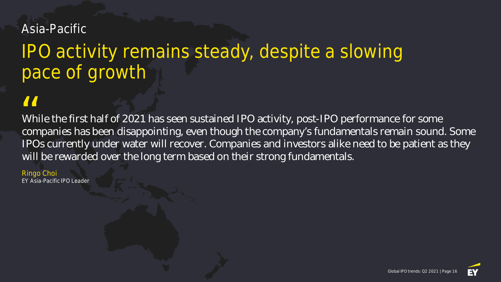# Asia-Pacific

# IPO activity remains steady, despite a slowing pace of growth

While the first half of 2021 has seen sustained IPO activity, post-IPO performance for some companies has been disappointing, even though the company's fundamentals remain sound. Some IPOs currently under water will recover. Companies and investors alike need to be patient as they will be rewarded over the long term based on their strong fundamentals.  $\frac{1}{1}$  Wh con

Ringo Choi EY Asia-Pacific IPO Leader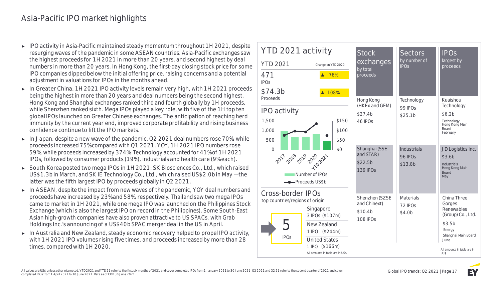# Asia-Pacific IPO market highlights

- ► IPO activity in Asia-Pacific maintained steady momentum throughout 1H 2021, despite resurging waves of the pandemic in some ASEAN countries. Asia-Pacific exchanges saw the highest proceeds for 1H 2021 in more than 20 years, and second highest by deal numbers in more than 20 years. In Hong Kong, the first-day closing stock price for some IPO companies dipped below the initial offering price, raising concerns and a potential adjustment in valuations for IPOs in the months ahead.
- ► **In Greater China,** 1H 2021 IPO activity levels remain very high, with 1H 2021 proceeds being the highest in more than 20 years and deal numbers being the second highest. Hong Kong and Shanghai exchanges ranked third and fourth globally by 1H proceeds, while Shenzhen ranked sixth. Mega IPOs played a key role, with five of the 1H top ten global IPOs launched on Greater Chinese exchanges. The anticipation of reaching herd immunity by the current year end, improved corporate profitability and rising business confidence continue to lift the IPO markets.
- ► **In Japan,** despite a new wave of the pandemic, Q2 2021 deal numbers rose 70%, while proceeds increased 75% compared with Q1 2021. YOY, 1H 2021 IPO numbers rose 59%, while proceeds increased by 374%. Technology accounted for 41% of 1H 2021 IPOs, followed by consumer products (19%), industrials and health care (9% each).
- ► **South Korea** posted two mega IPOs in 1H 2021: SK Biosciences Co., Ltd., which raised US\$1.3b in March, and SK IE Technology Co., Ltd., which raised US\$2.0b in May — the latter was the fifth largest IPO by proceeds globally in Q2 2021.
- ► **In ASEAN,** despite the impact from new waves of the pandemic, YOY deal numbers and proceeds have increased by 23% and 58%, respectively. Thailand saw two mega IPOs came to market in 1H 2021, while one mega IPO was launched on the Philippines Stock Exchange (which is also the largest IPO on record in the Philippines). Some South-East Asian high-growth companies have also proven attractive to US SPACs, with Grab Holdings Inc.'s announcing of a US\$40b SPAC merger deal in the US in April.
- ► **In Australia and New Zealand,** steady economic recovery helped to propel IPO activity, with 1H 2021 IPO volumes rising five times, and proceeds increased by more than 28 times, compared with 1H 2020.

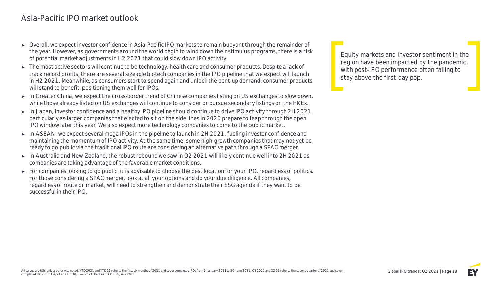# Asia-Pacific IPO market outlook

- ► Overall, we expect investor confidence in Asia-Pacific IPO markets to remain buoyant through the remainder of the year. However, as governments around the world begin to wind down their stimulus programs, there is a risk of potential market adjustments in H2 2021 that could slow down IPO activity.
- ► The most active sectors will continue to be technology, health care and consumer products. Despite a lack of track record profits, there are several sizeable biotech companies in the IPO pipeline that we expect will launch in H2 2021. Meanwhile, as consumers start to spend again and unlock the pent-up demand, consumer products will stand to benefit, positioning them well for IPOs.
- ► **In Greater China,** we expect the cross-border trend of Chinese companies listing on US exchanges to slow down, while those already listed on US exchanges will continue to consider or pursue secondary listings on the HKEx.
- ► **In Japan,** investor confidence and a healthy IPO pipeline should continue to drive IPO activity through 2H 2021, particularly as larger companies that elected to sit on the side lines in 2020 prepare to leap through the open IPO window later this year. We also expect more technology companies to come to the public market.
- ► **In ASEAN,** we expect several mega IPOs in the pipeline to launch in 2H 2021, fueling investor confidence and maintaining the momentum of IPO activity. At the same time, some high-growth companies that may not yet be ready to go public via the traditional IPO route are considering an alternative path through a SPAC merger.
- ► **In Australia and New Zealand,** the robust rebound we saw in Q2 2021 will likely continue well into 2H 2021 as companies are taking advantage of the favorable market conditions.
- ► For companies looking to go public, it is advisable to choose the best location for your IPO, regardless of politics. For those considering a SPAC merger, look at all your options and do your due diligence. All companies, regardless of route or market, will need to strengthen and demonstrate their ESG agenda if they want to be successful in their IPO.

**Equity markets and investor sentiment in the region have been impacted by the pandemic, with post-IPO performance often failing to stay above the first-day pop.**

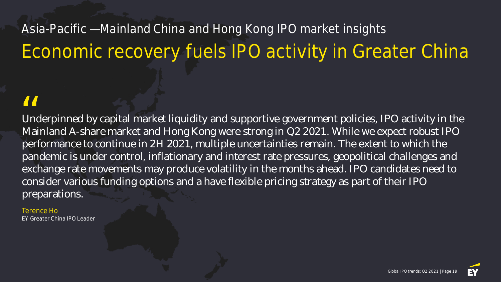# Asia-Pacific — Mainland China and Hong Kong IPO market insights Economic recovery fuels IPO activity in Greater China

Underpinned by capital market liquidity and supportive government policies, IPO activity in the Mainland A-share market and Hong Kong were strong in Q2 2021. While we expect robust IPO performance to continue in 2H 2021, multiple uncertainties remain. The extent to which the pandemic is under control, inflationary and interest rate pressures, geopolitical challenges and exchange rate movements may produce volatility in the months ahead. IPO candidates need to consider various funding options and a have flexible pricing strategy as part of their IPO preparations.  $\frac{1}{\sqrt{\frac{1}{1}}}}$ 

Terence Ho **Greater China IPO Leader**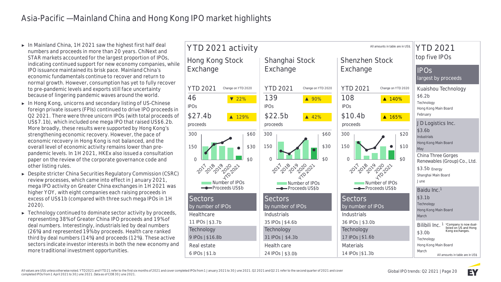- ► **In Mainland China,** 1H 2021 saw the highest first half deal numbers and proceeds in more than 20 years. ChiNext and STAR markets accounted for the largest proportion of IPOs, indicating continued support for new economy companies, while IPO issuance maintained its brisk pace. Mainland China's economic fundamentals continue to recover and return to normal growth. However, consumption has yet to fully recover to pre-pandemic levels and exports still face uncertainty because of lingering pandemic waves around the world.
- ► **In Hong Kong,** unicorns and secondary listing of US-Chinese foreign private issuers (FPIs) continued to drive IPO proceeds in Q2 2021. There were three unicorn IPOs (with total proceeds of US\$7.1b), which included one mega IPO that raised US\$6.2b. More broadly, these results were supported by Hong Kong's strengthening economic recovery. However, the pace of economic recovery in Hong Kong is not balanced, and the overall level of economic activity remains lower than prepandemic levels. In 1H 2021, HKEx also issued a consultation paper on the review of the corporate governance code and other listing rules.
- ► Despite stricter China Securities Regulatory Commission (CSRC) review processes, which came into effect in January 2021, mega IPO activity on Greater China exchanges in 1H 2021 was higher YOY, with eight companies each raising proceeds in excess of US\$1b (compared with three such mega IPOs in 1H 2020).
- ► Technology continued to dominate sector activity by proceeds, representing 38% of Greater China IPO proceeds and 19% of deal numbers. Interestingly, industrials led by deal numbers (26%) and represented 19% by proceeds. Health care ranked third by deal numbers (14%) and proceeds (12%). These active sectors indicate investor interests in both the new economy and more traditional investment opportunities.



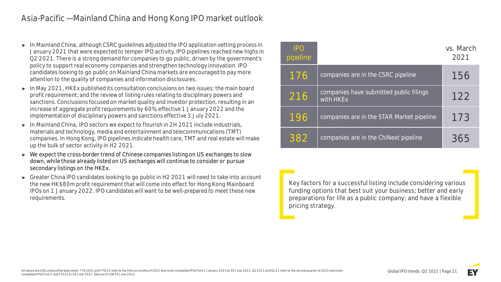# Asia-Pacific — Mainland China and Hong Kong IPO market outlook

- ► **In Mainland China,** although CSRC guidelines adjusted the IPO application vetting process in January 2021 that were expected to temper IPO activity, IPO pipelines reached new highs in Q2 2021. There is a strong demand for companies to go public, driven by the government's policy to support real economy companies and strengthen technology innovation. IPO candidates looking to go public on Mainland China markets are encouraged to pay more attention to the quality of companies and information disclosures.
- ► In May 2021, **HKEx** published its consultation conclusions on two issues: the main board profit requirement; and the review of listing rules relating to disciplinary powers and sanctions. Conclusions focused on market quality and investor protection, resulting in an increase of aggregate profit requirements by 60%, effective 1 January 2022 and the implementation of disciplinary powers and sanctions effective 3 July 2021.
- ► **In Mainland China,** IPO sectors we expect to flourish in 2H 2021 include industrials, materials and technology, media and entertainment and telecommunications (TMT) companies. In Hong Kong, IPO pipelines indicate health care, TMT and real estate will make up the bulk of sector activity in H2 2021.
- ► We expect the cross-border trend of Chinese companies listing on US exchanges to slow down, while those already listed on US exchanges will continue to consider or pursue secondary listings on the HKEx.
- Greater China IPO candidates looking to go public in H2 2021 will need to take into account the new HK\$80m profit requirement that will come into effect for Hong Kong Mainboard IPOs on 1 January 2022. IPO candidates will want to be well-prepared to meet these new requirements.

| <b>IPO</b><br>pipeline |                                                      | vs. March<br>2021 |
|------------------------|------------------------------------------------------|-------------------|
| 176                    | companies are in the CSRC pipeline                   | 156               |
| 216                    | companies have submitted public filings<br>with HKEx | 122               |
| 196                    | companies are in the STAR Market pipeline            | 173               |
| 382                    | companies are in the ChiNext pipeline                | 365               |

**Key factors for a successful listing include considering various funding options that best suit your business; better and early preparations for life as a public company; and have a flexible pricing strategy.**

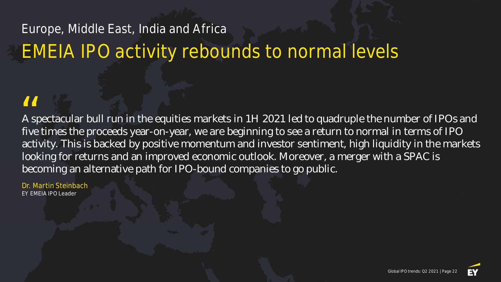# Europe, Middle East, India and Africa EMEIA IPO activity rebounds to normal levels

A spectacular bull run in the equities markets in 1H 2021 led to quadruple the number of IPOs and five times the proceeds year-on-year, we are beginning to see a return to normal in terms of IPO activity. This is backed by positive momentum and investor sentiment, high liquidity in the markets looking for returns and an improved economic outlook. Moreover, a merger with a SPAC is becoming an alternative path for IPO-bound companies to go public. *II*<br>A sp<br>five

Dr. Martin Steinbach EY EMEIA IPO Leader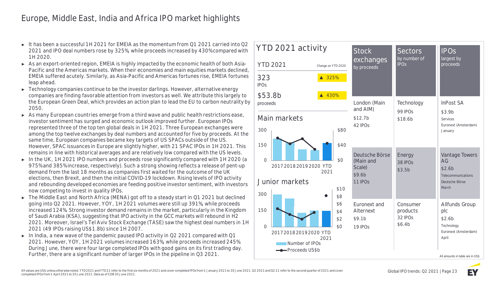# Europe, Middle East, India and Africa IPO market highlights

- ► It has been a successful 1H 2021 for EMEIA as the momentum from Q1 2021 carried into Q2 2021 and IPO deal numbers rose by 325%, while proceeds increased by 430% compared with 1H 2020.
- ► As an export-oriented region, EMEIA is highly impacted by the economic health of both Asia-Pacific and the Americas markets. When their economies and main equities markets declined, EMEIA suffered acutely. Similarly, as Asia-Pacific and Americas fortunes rise, EMEIA fortunes leap ahead.
- ► Technology companies continue to be the investor darlings. However, alternative energy companies are finding favorable attention from investors as well. We attribute this largely to the European Green Deal, which provides an action plan to lead the EU to carbon neutrality by 2050.
- ► As many **European countries** emerge from a third wave and public health restrictions ease, investor sentiment has surged and economic outlook improved further. European IPOs represented three of the top ten global deals in 1H 2021. Three European exchanges were among the top twelve exchanges by deal numbers and accounted for five by proceeds. At the same time, European companies became key targets of US SPACs outside of the US. However, SPAC issuances in Europe are slightly higher, with 21 SPAC IPOs in 1H 2021. This remains in line with historical averages and are relatively low compared with the US levels.
- ► **In the UK,** 1H 2021 IPO numbers and proceeds rose significantly compared with 1H 2020 (a 975% and 385% increase, respectively). Such a strong showing reflects a release of pent-up demand from the last 18 months as companies first waited for the outcome of the UK elections, then Brexit, and then the initial COVID-19 lockdown. Rising levels of IPO activity and rebounding developed economies are feeding positive investor sentiment, with investors now competing to invest in quality IPOs.
- ► **The Middle East and North Africa (MENA)** got off to a steady start in Q1 2021 but declined going into Q2 2021. However, YOY, 1H 2021 volumes were still up 391%, while proceeds increased 124%. Strong investor demand remains in the market, particularly in the Kingdom of Saudi Arabia (KSA), suggesting that IPO activity in the GCC markets will rebound in H2 2021. Moreover, Israel's Tel Aviv Stock Exchange (TASE) saw the highest deal numbers in 1H 2021 (49 IPOs raising US\$1.8b) since 1H 2007.
- ► **In India,** a new wave of the pandemic paused IPO activity in Q2 2021 compared with Q1 2021. However, YOY, 1H 2021 volumes increased 163%, while proceeds increased 245%. During June, there were four large completed IPOs with good gains on its first trading day. Further, there are a significant number of larger IPOs in the pipeline in Q3 2021.



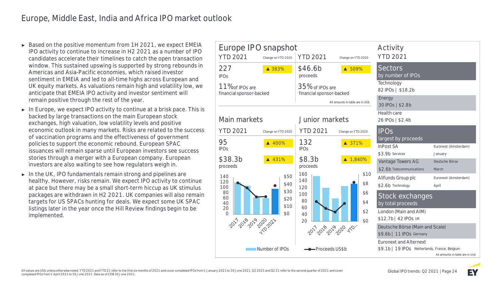- ► Based on the positive momentum from 1H 2021, we expect EMEIA IPO activity to continue to increase in H2 2021 as a number of IPO candidates accelerate their timelines to catch the open transaction window. This sustained upswing is supported by strong rebounds in Americas and Asia-Pacific economies, which raised investor sentiment in EMEIA and led to all-time highs across European and UK equity markets. As valuations remain high and volatility low, we anticipate that EMEIA IPO activity and investor sentiment will remain positive through the rest of the year.
- ► **In Europe,** we expect IPO activity to continue at a brisk pace. This is backed by large transactions on the main European stock exchanges, high valuation, low volatility levels and positive economic outlook in many markets. Risks are related to the success of vaccination programs and the effectiveness of government policies to support the economic rebound. European SPAC issuances will remain sparse until European investors see success stories through a merger with a European company. European investors are also waiting to see how regulators weigh in.
- ► **In the UK**, IPO fundamentals remain strong and pipelines are healthy. However, risks remain. We expect IPO activity to continue at pace but there may be a small short-term hiccup as UK stimulus packages are withdrawn in H2 2021. UK companies will also remain targets for US SPACs hunting for deals. We expect some UK SPAC listings later in the year once the Hill Review findings begin to be implemented.

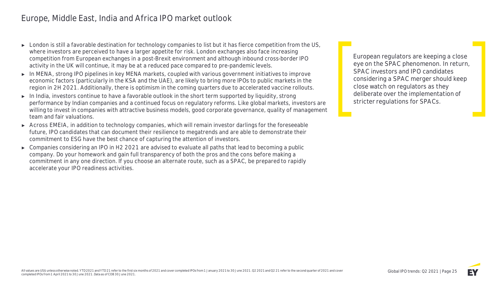# Europe, Middle East, India and Africa IPO market outlook

- ► London is still a favorable destination for technology companies to list but it has fierce competition from the US, where investors are perceived to have a larger appetite for risk. London exchanges also face increasing competition from European exchanges in a post-Brexit environment and although inbound cross-border IPO activity in the UK will continue, it may be at a reduced pace compared to pre-pandemic levels.
- ► **In MENA,** strong IPO pipelines in key MENA markets, coupled with various government initiatives to improve economic factors (particularly in the KSA and the UAE), are likely to bring more IPOs to public markets in the region in 2H 2021. Additionally, there is optimism in the coming quarters due to accelerated vaccine rollouts.
- ► **In India,** investors continue to have a favorable outlook in the short term supported by liquidity, strong performance by Indian companies and a continued focus on regulatory reforms. Like global markets, investors are willing to invest in companies with attractive business models, good corporate governance, quality of management team and fair valuations.
- ► **Across EMEIA,** in addition to technology companies, which will remain investor darlings for the foreseeable future, IPO candidates that can document their resilience to megatrends and are able to demonstrate their commitment to ESG have the best chance of capturing the attention of investors.
- ► Companies considering an IPO in H2 2021 are advised to evaluate all paths that lead to becoming a public company. Do your homework and gain full transparency of both the pros and the cons before making a commitment in any one direction. If you choose an alternate route, such as a SPAC, be prepared to rapidly accelerate your IPO readiness activities.

**European regulators are keeping a close eye on the SPAC phenomenon. In return, SPAC investors and IPO candidates considering a SPAC merger should keep close watch on regulators as they deliberate over the implementation of stricter regulations for SPACs.**

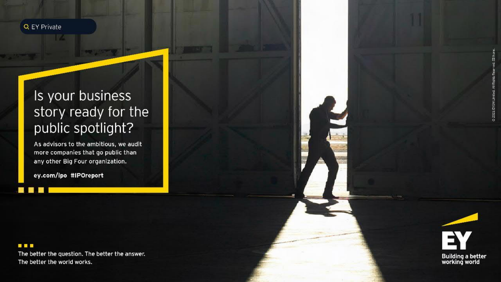

# Is your business story ready for the public spotlight?

As advisors to the ambitious, we audit more companies that go public than any other Big Four organization.

ey.com/ipo #IPOreport

### **. . .**

**All All** 

The better the question. The better the answer. The better the world works.

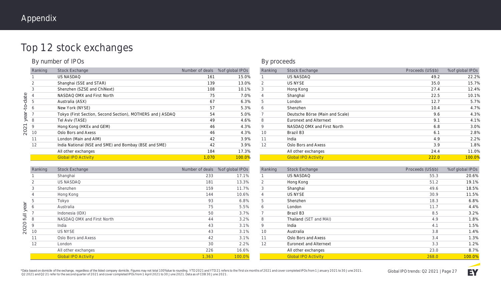# Top 12 stock exchanges

### **By number of IPOs**

|             | Ranking        | <b>Stock Exchange</b>                                     | Number of deals | % of global IPOs |
|-------------|----------------|-----------------------------------------------------------|-----------------|------------------|
|             |                | <b>US NASDAQ</b>                                          | 161             | 15.0%            |
|             | 2              | Shanghai (SSE and STAR)                                   | 139             | 13.0%            |
|             | 3              | Shenzhen (SZSE and ChiNext)                               | 108             | 10.1%            |
|             | $\overline{4}$ | NASDAQ OMX and First North                                | 75              | 7.0%             |
|             | 5              | Australia (ASX)                                           | 67              | 6.3%             |
| $-to$ -date | 6              | New York (NYSE)                                           | 57              | 5.3%             |
| year        | $\overline{7}$ | Tokyo (First Section, Second Section), MOTHERS and JASDAQ | 54              | 5.0%             |
|             | 8              | Tel Aviv (TASE)                                           | 49              | 4.6%             |
| 2021        | 9              | Hong Kong (HKEx and GEM)                                  | 46              | 4.3%             |
|             | 10             | Oslo Bors and Axess                                       | 46              | 4.3%             |
|             | 11             | London (Main and AIM)                                     | 42              | 3.9%             |
|             | 12             | India National (NSE and SME) and Bombay (BSE and SME)     | 42              | 3.9%             |
|             |                | All other exchanges                                       | 184             | 17.3%            |
|             |                | <b>Global IPO Activity</b>                                | 1,070           | 100.0%           |

### **By proceeds**

| Ranking        | <b>Stock Exchange</b>           | Proceeds (US\$b) | % of global IPOs |
|----------------|---------------------------------|------------------|------------------|
|                | <b>US NASDAQ</b>                | 49.2             | 22.2%            |
| 2              | <b>US NYSE</b>                  | 35.0             | 15.7%            |
| 3              | Hong Kong                       | 27.4             | 12.4%            |
| $\overline{4}$ | Shanghai                        | 22.5             | 10.1%            |
| 5              | London                          | 12.7             | 5.7%             |
| 6              | Shenzhen                        | 10.4             | 4.7%             |
|                | Deutsche Börse (Main and Scale) | 9.6              | 4.3%             |
| 8              | Euronext and Alternext          | 9.1              | 4.1%             |
| 9              | NASDAQ OMX and First North      | 6.8              | 3.0%             |
| 10             | Brazil B3                       | 6.1              | 2.8%             |
| 11             | India                           | 4.9              | 2.2%             |
| 12             | Oslo Bors and Axess             | 3.9              | 1.8%             |
|                | All other exchanges             | 24.4             | 11.0%            |
|                | <b>Global IPO Activity</b>      | 222.0            | 100.0%           |

|          | Ranking | <b>Stock Exchange</b>      | Number of deals | % of global IPOs |                                                                         |
|----------|---------|----------------------------|-----------------|------------------|-------------------------------------------------------------------------|
|          |         | Shanghai                   | 233             | 17.1%            |                                                                         |
|          | 2       | <b>US NASDAQ</b>           | 181             | 13.3%            |                                                                         |
|          | 3       | Shenzhen                   | 159             | 11.7%            | $\frac{1}{2}$                                                           |
|          | 4       | Hong Kong                  | 144             | 10.6%            | $\overline{\phantom{a}}$                                                |
|          | 5       | Tokyo                      | 93              | 6.8%             |                                                                         |
| year     | 6       | Australia                  | 75              | 5.5%             |                                                                         |
|          |         | Indonesia (IDX)            | 50              | 3.7%             | $\begin{array}{c c}\n\hline\n\epsilon \\ \hline\n\epsilon\n\end{array}$ |
| $\equiv$ | 8       | NASDAQ OMX and First North | 44              | 3.2%             |                                                                         |
| 2020     | 9       | India                      | 43              | 3.1%             |                                                                         |
|          | 10      | <b>US NYSE</b>             | 43              | 3.1%             | $\begin{array}{c}\n\hline\n\text{1} \\ \hline\n\text{1}\n\end{array}$   |
|          | 11      | Oslo Bors and Axess        | 42              | 3.1%             |                                                                         |
|          | 12      | London                     | 30              | 2.2%             |                                                                         |
|          |         | All other exchanges        | 226             | 16.6%            |                                                                         |
|          |         | <b>Global IPO Activity</b> | 1,363           | 100.0%           |                                                                         |
|          |         |                            |                 |                  |                                                                         |

| Ranking | <b>Stock Exchange</b>      | Proceeds (US\$b) | % of global IPOs |
|---------|----------------------------|------------------|------------------|
| 1       | <b>US NASDAQ</b>           | 55.3             | 20.6%            |
| 2       | Hong Kong                  | 51.2             | 19.1%            |
| 3       | Shanghai                   | 49.6             | 18.5%            |
| 4       | <b>US NYSE</b>             | 30.9             | 11.5%            |
| 5       | Shenzhen                   | 18.3             | 6.8%             |
| 6       | London                     | 11.7             | 4.4%             |
| 7       | Brazil B3                  | 8.5              | 3.2%             |
| 8       | Thailand (SET and MAI)     | 4.9              | 1.8%             |
| 9       | India                      | 4.1              | 1.5%             |
| 10      | Australia                  | 3.8              | 1.4%             |
| 11      | Oslo Bors and Axess        | 3.4              | 1.3%             |
| 12      | Euronext and Alternext     | 3.3              | 1.2%             |
|         | All other exchanges        | 23.0             | 8.7%             |
|         | <b>Global IPO Activity</b> | 268.0            | 100.0%           |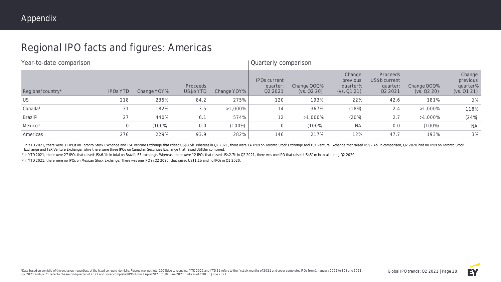# Regional IPO facts and figures: Americas

| Year-to-date comparison |                 |             |                       |             | Quarterly comparison                       |                            |                                               |                                                              |                            |                                               |
|-------------------------|-----------------|-------------|-----------------------|-------------|--------------------------------------------|----------------------------|-----------------------------------------------|--------------------------------------------------------------|----------------------------|-----------------------------------------------|
| Regions/country*        | <b>IPOS YTD</b> | Change YOY% | Proceeds<br>US\$b YTD | Change YOY% | <b>IPOs current</b><br>quarter:<br>Q2 2021 | Change QOQ%<br>(vs. Q2 20) | Change<br>previous<br>quarter%<br>(vs. Q1 21) | Proceeds<br>US\$b current<br>quarter:<br>Q <sub>2</sub> 2021 | Change QOQ%<br>(ys. Q2 20) | Change<br>previous<br>quarter%<br>(vs. Q1 21) |
| US                      | 218             | 235%        | 84.2                  | 275%        | 120                                        | 193%                       | 22%                                           | 42.6                                                         | 181%                       | 2%                                            |
| Canada <sup>1</sup>     | 31              | 182%        | 3.5                   | $>1,000\%$  | 14                                         | 367%                       | (18%)                                         | 2.4                                                          | $>1,000\%$                 | 118%                                          |
| Brazil <sup>2</sup>     | 27              | 440%        | 6.1                   | 574%        | 12                                         | $>1,000\%$                 | (20%)                                         | 2.7                                                          | $>1,000\%$                 | (24%)                                         |
| Mexico <sup>3</sup>     | 0               | (100%)      | 0.0                   | $(100\%)$   | 0                                          | $(100\%)$                  | <b>NA</b>                                     | 0.0                                                          | (100%)                     | <b>NA</b>                                     |
| Americas                | 276             | 229%        | 93.9                  | 282%        | 146                                        | 217%                       | 12%                                           | 47.7                                                         | 193%                       | 3%                                            |

<sup>1</sup> In YTD 2021, there were 31 IPOs on Toronto Stock Exchange and TSX Venture Exchange that raised US\$3.5b. Whereas in Q2 2021, there were 14 IPOs on Toronto Stock Exchange and TSX Venture Exchange that raised US\$2.4b. In Exchange and TSX Venture Exchange, while there were three IPOs on Canadian Securities Exchange that raised US\$3m combined.

<sup>2</sup> In YTD 2021, there were 27 IPOs that raised US\$6.1b in total on Brazil's B3 exchange. Whereas, there were 12 IPOs that raised US\$2.7b in Q2 2021, there was one IPO that raised US\$51m in total during Q2 2020.

3 In YTD 2021, there were no IPOs on Mexican Stock Exchange. There was one IPO in Q2 2020, that raised US\$1.1b and no IPOs in Q1 2020.

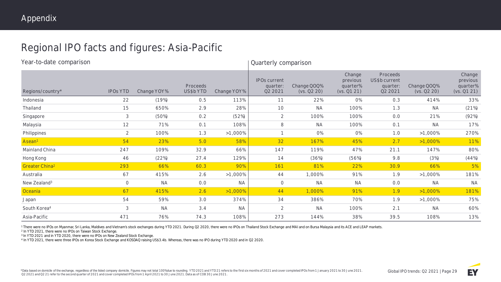# Regional IPO facts and figures: Asia-Pacific

| Year-to-date comparison    |                 |             |                             |             |                                            | Quarterly comparison       |                                               |                                                  |                            |                                               |  |  |  |
|----------------------------|-----------------|-------------|-----------------------------|-------------|--------------------------------------------|----------------------------|-----------------------------------------------|--------------------------------------------------|----------------------------|-----------------------------------------------|--|--|--|
| Regions/country*           | <b>IPOS YTD</b> | Change YOY% | <b>Proceeds</b><br>US\$bYTD | Change YOY% | <b>IPOs current</b><br>quarter:<br>Q2 2021 | Change QOQ%<br>(vs. Q2 20) | Change<br>previous<br>quarter%<br>(vs. Q1 21) | Proceeds<br>US\$b current<br>quarter:<br>Q2 2021 | Change QOQ%<br>(vs. Q2 20) | Change<br>previous<br>quarter%<br>(vs. Q1 21) |  |  |  |
| Indonesia                  | 22              | (19%)       | 0.5                         | 113%        | 11                                         | 22%                        | O%                                            | 0.3                                              | 414%                       | 33%                                           |  |  |  |
| Thailand                   | 15              | 650%        | 2.9                         | 28%         | 10                                         | <b>NA</b>                  | 100%                                          | 1.3                                              | <b>NA</b>                  | (21%)                                         |  |  |  |
| Singapore                  | 3               | (50%)       | 0.2                         | (52%)       | $\overline{2}$                             | 100%                       | 100%                                          | 0.0                                              | 21%                        | (92%)                                         |  |  |  |
| Malaysia                   | 12              | 71%         | 0.1                         | 108%        | 8                                          | <b>NA</b>                  | 100%                                          | 0.1                                              | <b>NA</b>                  | 17%                                           |  |  |  |
| Philippines                | $\overline{2}$  | 100%        | 1.3                         | $>1,000\%$  | 1                                          | O%                         | O%                                            | 1.0                                              | $>1,000\%$                 | 270%                                          |  |  |  |
| Asean <sup>1</sup>         | 54              | 23%         | 5.0                         | 58%         | 32                                         | 167%                       | 45%                                           | 2.7                                              | $>1,000\%$                 | 11%                                           |  |  |  |
| Mainland China             | 247             | 109%        | 32.9                        | 66%         | 147                                        | 119%                       | 47%                                           | 21.1                                             | 147%                       | 80%                                           |  |  |  |
| Hong Kong                  | 46              | (22%)       | 27.4                        | 129%        | 14                                         | (36%)                      | (56%)                                         | 9.8                                              | (3%)                       | (44%)                                         |  |  |  |
| Greater China <sup>2</sup> | 293             | 66%         | 60.3                        | 90%         | 161                                        | 81%                        | 22%                                           | 30.9                                             | 66%                        | 5%                                            |  |  |  |
| Australia                  | 67              | 415%        | 2.6                         | $>1,000\%$  | 44                                         | 1,000%                     | 91%                                           | 1.9                                              | $>1,000\%$                 | 181%                                          |  |  |  |
| New Zealand <sup>3</sup>   | $\overline{0}$  | <b>NA</b>   | 0.0                         | <b>NA</b>   | $\mathcal{O}$                              | <b>NA</b>                  | <b>NA</b>                                     | 0.0                                              | <b>NA</b>                  | <b>NA</b>                                     |  |  |  |
| Oceania                    | 67              | 415%        | 2.6                         | $>1,000\%$  | 44                                         | 1,000%                     | 91%                                           | 1.9                                              | $>1,000\%$                 | 181%                                          |  |  |  |
| Japan                      | 54              | 59%         | 3.0                         | 374%        | 34                                         | 386%                       | 70%                                           | 1.9                                              | $>1,000\%$                 | 75%                                           |  |  |  |
| South Korea <sup>4</sup>   | 3               | <b>NA</b>   | 3.4                         | <b>NA</b>   | 2                                          | <b>NA</b>                  | 100%                                          | 2.1                                              | <b>NA</b>                  | 60%                                           |  |  |  |
| Asia-Pacific               | 471             | 76%         | 74.3                        | 108%        | 273                                        | 144%                       | 38%                                           | 39.5                                             | 108%                       | 13%                                           |  |  |  |

<sup>1</sup> There were no IPOs on Myanmar, Sri Lanka, Maldives and Vietnam's stock exchanges during YTD 2021. During Q2 2020, there were no IPOs on Thailand Stock Exchange and MAI and on Bursa Malaysia and its ACE and LEAP markets

2 In YTD 2021, there were no IPOs on Taiwan Stock Exchange.

<sup>3</sup> In YTD 2021 and in YTD 2020, there were no IPOs on New Zealand Stock Exchange.

4 In YTD 2021, there were three IPOs on Korea Stock Exchange and KOSDAQ raising US\$3.4b. Whereas, there was no IPO during YTD 2020 and in Q2 2020.

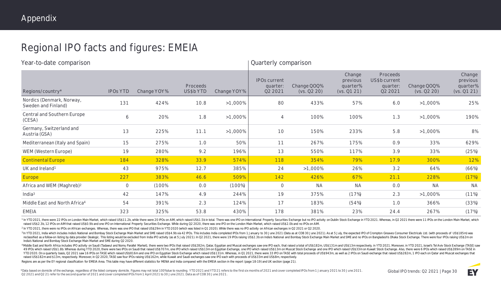# Regional IPO facts and figures: EMEIA

| Year-to-date comparison                          |                 |             |                       |             |                                            | Quarterly comparison       |                                               |                                                         |                            |                                               |  |  |  |
|--------------------------------------------------|-----------------|-------------|-----------------------|-------------|--------------------------------------------|----------------------------|-----------------------------------------------|---------------------------------------------------------|----------------------------|-----------------------------------------------|--|--|--|
| Regions/country*                                 | <b>IPOS YTD</b> | Change YOY% | Proceeds<br>US\$b YTD | Change YOY% | <b>IPOs current</b><br>quarter:<br>Q2 2021 | Change QOQ%<br>(vs. Q2 20) | Change<br>previous<br>quarter%<br>(vs. Q1 21) | <b>Proceeds</b><br>US\$b current<br>quarter:<br>Q2 2021 | Change QOQ%<br>(vs. Q2 20) | Change<br>previous<br>quarter%<br>(vs. Q1 21) |  |  |  |
| Nordics (Denmark, Norway,<br>Sweden and Finland) | 131             | 424%        | 10.8                  | $>1,000\%$  | 80                                         | 433%                       | 57%                                           | 6.0                                                     | $>1,000\%$                 | 25%                                           |  |  |  |
| Central and Southern Europe<br>(CESA)            | 6               | 20%         | 1.8                   | $>1,000\%$  | 4                                          | 100%                       | 100%                                          | 1.3                                                     | $>1,000\%$                 | 190%                                          |  |  |  |
| Germany, Switzerland and<br>Austria (GSA)        | 13              | 225%        | 11.1                  | $>1,000\%$  | 10                                         | 150%                       | 233%                                          | 5.8                                                     | $>1,000\%$                 | 8%                                            |  |  |  |
| Mediterranean (Italy and Spain)                  | 15              | 275%        | 1.0                   | 50%         | 11                                         | 267%                       | 175%                                          | 0.9                                                     | 33%                        | 629%                                          |  |  |  |
| WEM (Western Europe)                             | 19              | 280%        | 9.2                   | 196%        | 13                                         | 550%                       | 117%                                          | 3.9                                                     | 33%                        | (25%)                                         |  |  |  |
| <b>Continental Europe</b>                        | 184             | 328%        | 33.9                  | 574%        | 118                                        | 354%                       | 79%                                           | 17.9                                                    | 300%                       | 12%                                           |  |  |  |
| UK and Ireland <sup>1</sup>                      | 43              | 975%        | 12.7                  | 385%        | 24                                         | $>1,000\%$                 | 26%                                           | 3.2                                                     | 64%                        | (66%)                                         |  |  |  |
| Europe                                           | 227             | 383%        | 46.6                  | 509%        | 142                                        | 426%                       | 67%                                           | 21.1                                                    | 228%                       | (17%)                                         |  |  |  |
| Africa and WEM (Maghreb) <sup>2</sup>            | $\mathcal{O}$   | (100%       | 0.0                   | $(100\%)$   | $\mathbf 0$                                | <b>NA</b>                  | <b>NA</b>                                     | 0.0                                                     | <b>NA</b>                  | <b>NA</b>                                     |  |  |  |
| India $3$                                        | 42              | 147%        | 4.9                   | 244%        | 19                                         | 375%                       | (17%)                                         | 2.3                                                     | $>1,000\%$                 | (11%)                                         |  |  |  |
| Middle East and North Africa <sup>4</sup>        | 54              | 391%        | 2.3                   | 124%        | 17                                         | 183%                       | (54%)                                         | 1.0                                                     | 366%                       | (33%)                                         |  |  |  |
| EMEIA                                            | 323             | 325%        | 53.8                  | 430%        | 178                                        | 381%                       | 23%                                           | 24.4                                                    | 267%                       | (17%)                                         |  |  |  |

<sup>1</sup> In YTD 2021, there were 22 IPOs on London Main Market, which raised US\$11.2b, while there were 20 IPOs on AIM, which raised US\$1.5b in total. There was one IPO on International Property Securities Exchange but no IPO a raised US\$2.3b, 12 IPOs on AIM that raised US\$0.9b and one IPO on International Property Securities Exchange. While during Q2 2020, there was one IPO on the London Main Market, which raised US\$2.0b and no IPOs on AIM.

<sup>2</sup> In YTD 2021, there were no IPOs on African exchanges. Whereas, there was one IPO that raised US\$29m in YTD 2020 (which was listed in Q1 2020). While there was no IPO activity on African exchanges in Q2 2021 or Q2 2020.

3 In YTD 2021, India which includes India's National and Bombay Stock Exchange Main Market and SME raised US\$4.9b via 42 IPOs. This includes India completed IPOs from 1 January to 30 June 2021 (Data as at COB 30 June 2021) reclassified as a follow-on listing by data provider Dealogic. This listing would be excluded from India IPO activity (as at 5 July 2021). In 02 2021, there were 19 IPOs raising US\$2.3b on India's National and Bombay Stock India's National and Bombay Stock Exchange Main Market and SME during Q2 2020.

4 Middle East and North Africa includes IPO activity on Saudi (Tadawul and Nomu Parallel Market), there were two IPOs that raised US\$282m, Qatar, Eqyptian and Muscat exchanges saw one IPO each, that raised a total of US\$18 49 IPOs which raised US\$1.8b. Whereas during YTD 2020, there were two IPOs on Saudi that raised US\$707m, one IPO which raised US\$13m on Egyptian Exchange, one IPO which raised US\$13m on Muscat Stock Exchange and one IPO wh YTD 2020. On a quarterly basis, Q2 2021 saw 16 IPOs on TASE which raised US\$816m and one IPO on Egyptian Stock Exchange which raised US\$131m. Whereas, in Q1 2021, there were 33 IPO on TASE with total proceeds of US\$943m, a raised US\$182m and \$13m, respectively. Moreover, in Q2 2020, TASE saw four IPOs raising US\$162m, while Kuwait and Saudi exchanges saw one IPO each with proceeds of US\$33m and US\$8m, respectively.

Regions are as per the EY regional classification for EMEIA Area. This table may have different statistics for MENA and India compared with the EMEIA section in the report (page 18-19) and UK section (page 21).

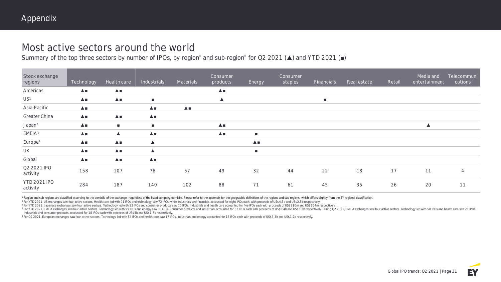# Most active sectors around the world

Summary of the top three sectors by number of IPOs, by region<sup>\*</sup> and sub-region<sup>\*</sup> for Q2 2021 (▲) and YTD 2021 (■)

| Stock exchange<br>regions       | Technology                 | Health care                   | Industrials                | Materials                       | Consumer<br>products | <b>Energy</b>    | Consumer<br>staples | Financials     | Real estate | Retail | Media and<br>entertainment | Telecommuni<br>cations |
|---------------------------------|----------------------------|-------------------------------|----------------------------|---------------------------------|----------------------|------------------|---------------------|----------------|-------------|--------|----------------------------|------------------------|
| Americas                        | $\triangle$ $\blacksquare$ | $\triangle$                   |                            |                                 | $\blacktriangle$     |                  |                     |                |             |        |                            |                        |
| US <sup>1</sup>                 | $\blacktriangle$           | ▲■                            | $\blacksquare$             |                                 | $\blacktriangle$     |                  |                     | $\blacksquare$ |             |        |                            |                        |
| Asia-Pacific                    | $\triangle$                |                               | $\triangle$ $\blacksquare$ | $\blacktriangle$ $\blacksquare$ |                      |                  |                     |                |             |        |                            |                        |
| Greater China                   | $\triangle$                | $\triangle$                   | $\triangle$                |                                 |                      |                  |                     |                |             |        |                            |                        |
| Japan <sup>2</sup>              | $\triangle$ $\blacksquare$ | $\mathbf{r}$                  | $\blacksquare$             |                                 | $\blacktriangle$     |                  |                     |                |             |        | $\blacktriangle$           |                        |
| EMEIA <sup>3</sup>              | $\blacktriangle$           | $\blacktriangle$              | $\triangle$                |                                 | $\blacktriangle$     | $\blacksquare$   |                     |                |             |        |                            |                        |
| Europe <sup>4</sup>             | $\blacktriangle$           | $\blacktriangle$              | $\blacktriangle$           |                                 |                      | $\blacktriangle$ |                     |                |             |        |                            |                        |
| UK                              | $\blacktriangle$           | $\blacktriangle \blacksquare$ | $\blacktriangle$           |                                 |                      | п.               |                     |                |             |        |                            |                        |
| Global                          | $\triangle$ $\blacksquare$ | $\triangle$                   | $\triangle$                |                                 |                      |                  |                     |                |             |        |                            |                        |
| Q2 2021 IPO<br>activity         | 158                        | 107                           | 78                         | 57                              | 49                   | 32               | 44                  | 22             | 18          | 17     | 11                         | $\overline{4}$         |
| <b>YTD 2021 IPO</b><br>activity | 284                        | 187                           | 140                        | 102                             | 88                   | 71               | 61                  | 45             | 35          | 26     | 20                         | 11                     |

\* Region and sub-regions are classified according to the domicile of the exchange, regardless of the listed company domicile. Please refer to the appendix for the geographic definitions of the regions and sub-regions, whic

1 For YTD 2021, US exchanges saw four active sectors. Health care led with 91 IPOs and technology saw 72 IPOs, while industrials and financials accounted for eight IPOs each, with proceeds of US\$4.5b and US\$2.5b respective

<sup>2</sup> For YTD 2021, Japanese exchanges saw four active sectors. Technology led with 22 IPOs and consumer products saw 10 IPOs. Industrials and health care accounted for five IPOs each with proceeds of US\$210m and US\$104m res

<sup>3</sup> For YTD 2021, EMEIA exchanges saw four active sectors. Technology led with 99 IPOs and energy saw 38 IPOs. Consumer products and industrials accounted for 32 IPOs each with proceeds of US\$6.4b and US\$5.2b respectively. Industrials and consumer products accounted for 18 IPOs each with proceeds of US\$4b and US\$1.7b respectively.

<sup>4</sup> For Q2 2021, European exchanges saw four active sectors. Technology led with 54 IPOs and health care saw 17 IPOs. Industrials and energy accounted for 15 IPOs each with proceeds of US\$3.3b and US\$1.2b respectively.

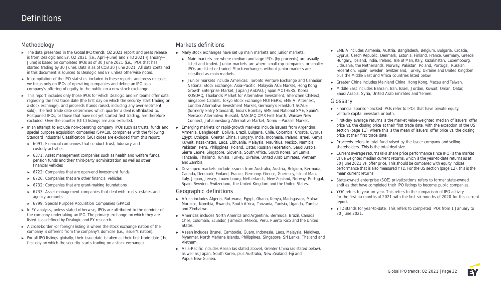### **Methodology**

- ► The data presented in the *Global IPO trends: Q2 2021* report and press release is from Dealogic and EY. Q2 2021 (i.e., April—June) and YTD 2021 (January— June) is based on completed IPOs as of 30 June 2021 (i.e., IPOs that has started trading by 30 June). Data is as of COB 30 June 2021. All data contained in this document is sourced to Dealogic and EY unless otherwise noted.
- ► In compilation of the IPO statistics included in these reports and press releases, we focus only on **IPOs of operating companies** and define an IPO as a **company's offering of equity to the public on a new stock exchange.**
- ► This report includes only those IPOs for which Dealogic and EY teams offer data regarding the first trade date (the first day on which the security start trading on a stock exchange), and proceeds (funds raised, including any over-allotment sold). The first trade date determines which quarter a deal is attributed to. Postponed IPOs, or those that have not yet started first trading, are therefore excluded. Over-the-counter (OTC) listings are also excluded.
- ► In an attempt to exclude non-operating company IPOs such as trusts, funds and special purpose acquisition companies (SPACs), companies with the following Standard Industrial Classification (SIC) codes are excluded from this report:
	- ► 6091: Financial companies that conduct trust, fiduciary and custody activities
	- ► 6371: Asset management companies such as health and welfare funds, pension funds and their third-party administration as well as other financial vehicles
	- ► 6722: Companies that are open-end investment funds
	- ► 6726: Companies that are other financial vehicles
	- ► 6732: Companies that are grant-making foundations
	- ► 6733: Asset management companies that deal with trusts, estates and agency accounts
	- ► 6799: Special Purpose Acquisition Companies (SPACs)
- ► In EY analysis, unless stated otherwise, IPOs are attributed to the domicile of the company undertaking an IPO. The primary exchange on which they are listed is as defined by Dealogic and EY research.
- ► A cross-border (or foreign) listing is where the stock exchange nation of the company is different from the company's domicile (i.e., issuer's nation).
- ► For all IPO listings globally, their issue date is taken as their first trade date (the first day on which the security starts trading on a stock exchange).

### **Markets definitions**

- ► Many stock exchanges have set up **main markets and junior markets:**
	- ► **Main markets** are where medium and large IPOs (by proceeds) are usually listed and traded. **Junior markets** are where small-cap companies or smaller IPOs are listed or traded. Stock exchanges without junior markets are classified as main markets.
	- ► **Junior markets** include **Americas:** Toronto Venture Exchange and Canadian National Stock Exchange; **Asia-Pacific:** Malaysia ACE Market, Hong Kong Growth Enterprise Market, Japan JASDAQ, Japan MOTHERS, Korea KOSDAQ, Thailand's Market for Alternative Investment, Shenzhen ChiNext, Singapore Catalist, Tokyo Stock Exchange MOTHERS; **EMEIA:** Alternext, London Alternative Investment Market, Germany's Frankfurt SCALE (formerly Entry Standard), India's Bombay SME and National SME, Spain's Mercado Alternativo Bursatil, NASDAQ OMX First North, Warsaw New Connect, Johannesburg Alternative Market, Nomu — Parallel Market.
- ► **Emerging markets or rapid-growth markets** include issuers from Argentina, Armenia, Bangladesh, Bolivia, Brazil, Bulgaria, Chile, Colombia, Croatia, Cyprus, Egypt, Ethiopia, Greater China, Hungary, India, Indonesia, Ireland, Israel, Kenya, Kuwait, Kazakhstan, Laos, Lithuania, Malaysia, Mauritius, Mexico, Namibia, Pakistan, Peru, Philippines, Poland, Qatar, Russian Federation, Saudi Arabia, Sierra Leone, Singapore, Slovenia, South Africa, South Korea, Sri Lanka, Tanzania, Thailand, Tunisia, Turkey, Ukraine, United Arab Emirates, Vietnam and Zambia.
- ► **Developed markets** include issuers from Australia, Austria, Belgium, Bermuda, Canada, Denmark, Finland, France, Germany, Greece, Guernsey, Isle of Man, Italy, Japan, Jersey, Luxembourg, Netherlands, New Zealand, Norway, Portugal, Spain, Sweden, Switzerland, the United Kingdom and the United States.

### **Geographic definitions**

- ► **Africa** includes Algeria, Botswana, Egypt, Ghana, Kenya, Madagascar, Malawi, Morocco, Namibia, Rwanda, South Africa, Tanzania, Tunisia, Uganda, Zambia and Zimbabwe.
- ► **Americas** includes North America and Argentina, Bermuda, Brazil, Canada Chile, Colombia, Ecuador, Jamaica, Mexico, Peru, Puerto Rico and the United States.
- ► **Asean** includes Brunei, Cambodia, Guam, Indonesia, Laos, Malaysia, Maldives, Myanmar, North Mariana Islands, Philippines, Singapore, Sri Lanka, Thailand and Vietnam.
- ► **Asia-Pacific** includes Asean (as stated above), Greater China (as stated below), as well as Japan, South Korea, plus Australia, New Zealand, Fiji and Papua New Guinea.
- ► **EMEIA** includes Armenia, Austria, Bangladesh, Belgium, Bulgaria, Croatia, Cyprus, Czech Republic, Denmark, Estonia, Finland, France, Germany, Greece, Hungary, Iceland, India, Ireland, Isle of Man, Italy, Kazakhstan, Luxembourg, Lithuania, the Netherlands, Norway, Pakistan, Poland, Portugal, Russian Federation, Spain, Sweden, Switzerland, Turkey, Ukraine and United Kingdom plus the Middle East and Africa countries listed below.
- ► **Greater China** includes Mainland China, Hong Kong, Macau and Taiwan.
- ► **Middle East** includes Bahrain, Iran, Israel, Jordan, Kuwait, Oman, Qatar, Saudi Arabia, Syria, United Arab Emirates and Yemen.

### **Glossary**

- ► **Financial sponsor-backed IPOs** refer to IPOs that have private equity, venture capital investors or both.
- ► **First-day average returns** is the market value-weighted median of issuers' offer price vs. the closing price at their first trade date, with the exception of the US section (page 11), where this is the mean of issuers' offer price vs. the closing price at their first trade date.
- ► **Proceeds** refers to total fund raised by the issuer company and selling shareholders. This is the total deal size.
- ► **Current average returns (aka share price performance since IPO)** is the market value weighted median current returns, which is the year-to-date returns as at 30 June 2021 vs. offer price. This should be compared with equity indices performance that is also measured YTD. For the US section (page 12), this is the mean current returns.
- ► **State-owned enterprise (SOE) privatizations** refers to former state-owned entities that have completed their IPO listings to become public companies.
- ► **YOY** refers to year-on-year. This refers to the comparison of IPO activity for the first six months of 2021 with the first six months of 2020 for this current report.
- ► **YTD** stands for year-to-date. This refers to completed IPOs from 1 January to 30 June 2021.